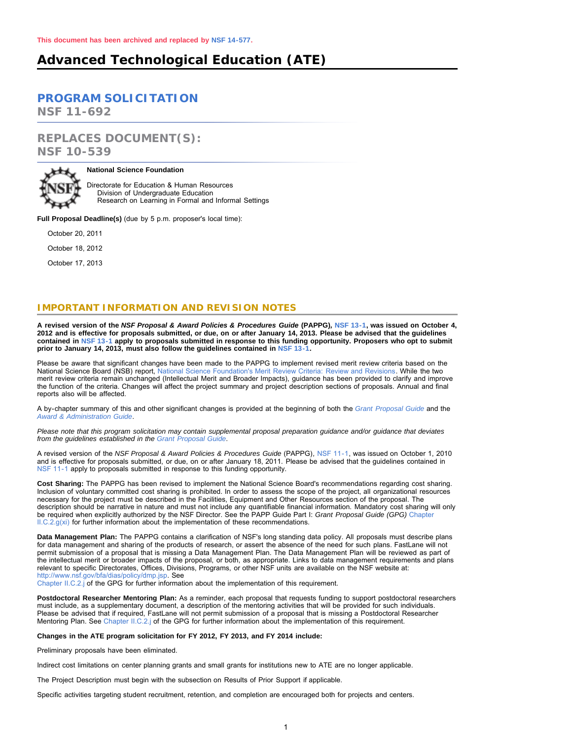# **Advanced Technological Education (ATE)**

## **[PROGRAM SOLICITATION](#page-2-0)**

**NSF 11-692**

## **REPLACES DOCUMENT(S): NSF 10-539**



### **National Science Foundation**

Directorate for Education & Human Resources Division of Undergraduate Education Research on Learning in Formal and Informal Settings

**Full Proposal Deadline(s)** (due by 5 p.m. proposer's local time):

October 20, 2011

October 18, 2012

October 17, 2013

## **IMPORTANT INFORMATION AND REVISION NOTES**

**A revised version of the** *NSF Proposal & Award Policies & Procedures Guide* **(PAPPG)***,* **[NSF 13-1,](http://www.nsf.gov/publications/pub_summ.jsp?ods_key=nsf13001) was issued on October 4, 2012 and is effective for proposals submitted, or due, on or after January 14, 2013. Please be advised that the guidelines contained in [NSF 13-1](http://www.nsf.gov/publications/pub_summ.jsp?ods_key=nsf13001) apply to proposals submitted in response to this funding opportunity. Proposers who opt to submit prior to January 14, 2013, must also follow the guidelines contained in [NSF 13-1.](http://www.nsf.gov/publications/pub_summ.jsp?ods_key=nsf13001)**

Please be aware that significant changes have been made to the PAPPG to implement revised merit review criteria based on the National Science Board (NSB) report, [National Science Foundation's Merit Review Criteria: Review and Revisions.](http://www.nsf.gov/nsb/publications/2011/meritreviewcriteria.pdf) While the two merit review criteria remain unchanged (Intellectual Merit and Broader Impacts), guidance has been provided to clarify and improve the function of the criteria. Changes will affect the project summary and project description sections of proposals. Annual and final reports also will be affected.

A by-chapter summary of this and other significant changes is provided at the beginning of both the *[Grant Proposal Guide](http://www.nsf.gov/pubs/policydocs/pappguide/nsf13001/gpg_sigchanges.jsp)* and the *[Award & Administration Guide](http://www.nsf.gov/pubs/policydocs/pappguide/nsf13001/aag_sigchanges.jsp)*.

*Please note that this program solicitation may contain supplemental proposal preparation guidance and/or guidance that deviates from the guidelines established in the [Grant Proposal Guide](http://www.nsf.gov/pubs/policydocs/pappguide/nsf13001/gpg_index.jsp).*

A revised version of the *NSF Proposal & Award Policies & Procedures Guide* (PAPPG)*,* [NSF 11-1,](http://www.nsf.gov/publications/pub_summ.jsp?ods_key=nsf11001) was issued on October 1, 2010 and is effective for proposals submitted, or due, on or after January 18, 2011. Please be advised that the guidelines contained in [NSF 11-1](http://www.nsf.gov/publications/pub_summ.jsp?ods_key=nsf11001) apply to proposals submitted in response to this funding opportunity.

**Cost Sharing:** The PAPPG has been revised to implement the National Science Board's recommendations regarding cost sharing. Inclusion of voluntary committed cost sharing is prohibited. In order to assess the scope of the project, all organizational resources necessary for the project must be described in the Facilities, Equipment and Other Resources section of the proposal. The description should be narrative in nature and must not include any quantifiable financial information. Mandatory cost sharing will only be required when explicitly authorized by the NSF Director. See the PAPP Guide Part I: *Grant Proposal Guide (GPG)* [Chapter](http://www.nsf.gov/pubs/policydocs/pappguide/nsf11001/gpg_2.jsp#IIC2gxi)  $ILC.2.g(xi)$  for further information about the implementation of these recommendations.

**Data Management Plan:** The PAPPG contains a clarification of NSF's long standing data policy. All proposals must describe plans for data management and sharing of the products of research, or assert the absence of the need for such plans. FastLane will not permit submission of a proposal that is missing a Data Management Plan. The Data Management Plan will be reviewed as part of the intellectual merit or broader impacts of the proposal, or both, as appropriate. Links to data management requirements and plans relevant to specific Directorates, Offices, Divisions, Programs, or other NSF units are available on the NSF website at: [http://www.nsf.gov/bfa/dias/policy/dmp.jsp.](http://www.nsf.gov/bfa/dias/policy/dmp.jsp) See

[Chapter II.C.2.j](http://www.nsf.gov/pubs/policydocs/pappguide/nsf11001/gpg_2.jsp#IIC2j) of the GPG for further information about the implementation of this requirement.

**Postdoctoral Researcher Mentoring Plan:** As a reminder, each proposal that requests funding to support postdoctoral researchers must include, as a supplementary document, a description of the mentoring activities that will be provided for such individuals. Please be advised that if required, FastLane will not permit submission of a proposal that is missing a Postdoctoral Researcher Mentoring Plan. See [Chapter II.C.2.j](http://www.nsf.gov/pubs/policydocs/pappguide/nsf11001/gpg_2.jsp#IIC2j) of the GPG for further information about the implementation of this requirement.

#### **Changes in the ATE program solicitation for FY 2012, FY 2013, and FY 2014 include:**

Preliminary proposals have been eliminated.

Indirect cost limitations on center planning grants and small grants for institutions new to ATE are no longer applicable.

The Project Description must begin with the subsection on Results of Prior Support if applicable.

Specific activities targeting student recruitment, retention, and completion are encouraged both for projects and centers.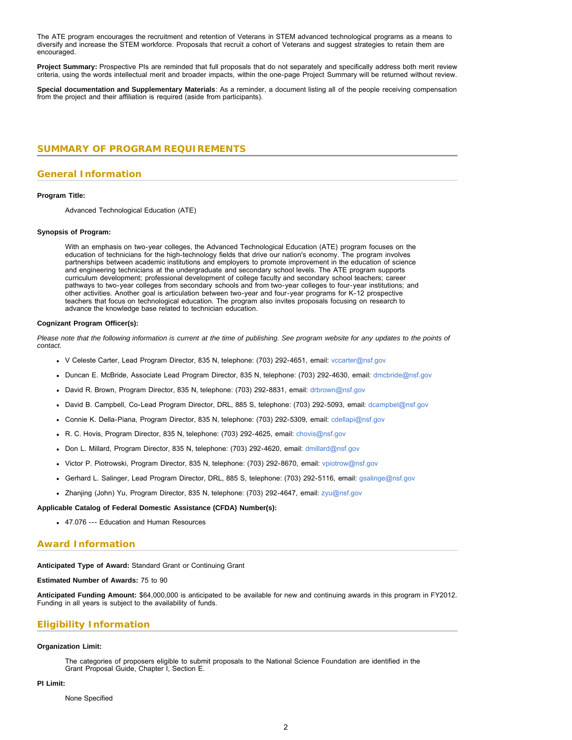The ATE program encourages the recruitment and retention of Veterans in STEM advanced technological programs as a means to diversify and increase the STEM workforce. Proposals that recruit a cohort of Veterans and suggest strategies to retain them are encouraged.

**Project Summary:** Prospective PIs are reminded that full proposals that do not separately and specifically address both merit review criteria, using the words intellectual merit and broader impacts, within the one-page Project Summary will be returned without review.

<span id="page-1-0"></span>**Special documentation and Supplementary Materials**: As a reminder, a document listing all of the people receiving compensation from the project and their affiliation is required (aside from participants).

## **SUMMARY OF PROGRAM REQUIREMENTS**

## **General Information**

### **Program Title:**

Advanced Technological Education (ATE)

#### **Synopsis of Program:**

With an emphasis on two-year colleges, the Advanced Technological Education (ATE) program focuses on the education of technicians for the high-technology fields that drive our nation's economy. The program involves partnerships between academic institutions and employers to promote improvement in the education of science and engineering technicians at the undergraduate and secondary school levels. The ATE program supports curriculum development; professional development of college faculty and secondary school teachers; career pathways to two-year colleges from secondary schools and from two-year colleges to four-year institutions; and other activities. Another goal is articulation between two-year and four-year programs for K-12 prospective teachers that focus on technological education. The program also invites proposals focusing on research to advance the knowledge base related to technician education.

#### **Cognizant Program Officer(s):**

*Please note that the following information is current at the time of publishing. See program website for any updates to the points of contact.*

- V Celeste Carter, Lead Program Director, 835 N, telephone: (703) 292-4651, email: [vccarter@nsf.gov](mailto:vccarter@nsf.gov)
- Duncan E. McBride, Associate Lead Program Director, 835 N, telephone: (703) 292-4630, email: [dmcbride@nsf.gov](mailto:dmcbride@nsf.gov)
- David R. Brown, Program Director, 835 N, telephone: (703) 292-8831, email: [drbrown@nsf.gov](mailto:drbrown@nsf.gov)
- David B. Campbell, Co-Lead Program Director, DRL, 885 S, telephone: (703) 292-5093, email: [dcampbel@nsf.gov](mailto:dcampbel@nsf.gov)
- Connie K. Della-Piana, Program Director, 835 N, telephone: (703) 292-5309, email: [cdellapi@nsf.gov](mailto:cdellapi@nsf.gov)
- R. C. Hovis, Program Director, 835 N, telephone: (703) 292-4625, email: [chovis@nsf.gov](mailto:chovis@nsf.gov)
- Don L. Millard, Program Director, 835 N, telephone: (703) 292-4620, email: [dmillard@nsf.gov](mailto:dmillard@nsf.gov)
- Victor P. Piotrowski, Program Director, 835 N, telephone: (703) 292-8670, email: [vpiotrow@nsf.gov](mailto:vpiotrow@nsf.gov)
- Gerhard L. Salinger, Lead Program Director, DRL, 885 S, telephone: (703) 292-5116, email: [gsalinge@nsf.gov](mailto:gsalinge@nsf.gov)
- Zhanjing (John) Yu, Program Director, 835 N, telephone: (703) 292-4647, email: [zyu@nsf.gov](mailto:zyu@nsf.gov)

### **Applicable Catalog of Federal Domestic Assistance (CFDA) Number(s):**

47.076 --- Education and Human Resources

### **Award Information**

**Anticipated Type of Award:** Standard Grant or Continuing Grant

#### **Estimated Number of Awards:** 75 to 90

**Anticipated Funding Amount:** \$64,000,000 is anticipated to be available for new and continuing awards in this program in FY2012. Funding in all years is subject to the availability of funds.

## **Eligibility Information**

### **Organization Limit:**

The categories of proposers eligible to submit proposals to the National Science Foundation are identified in the Grant Proposal Guide, Chapter I, Section E.

#### **PI Limit:**

None Specified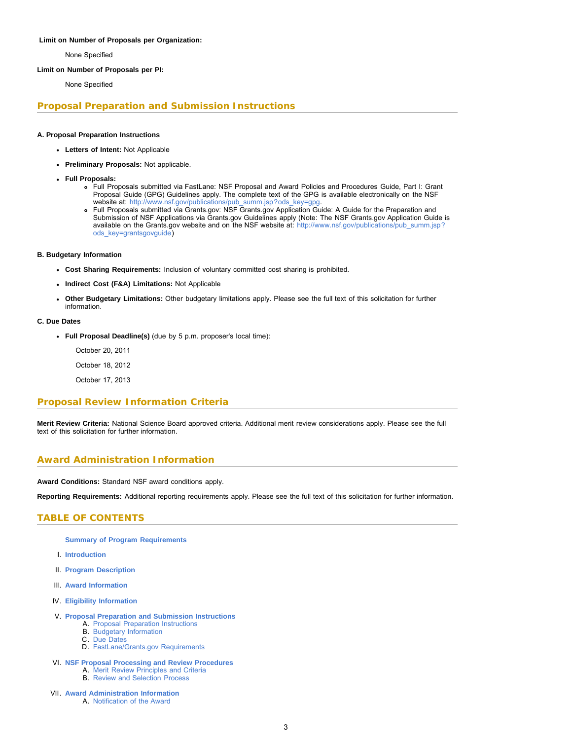### **Limit on Number of Proposals per Organization:**

None Specified

### **Limit on Number of Proposals per PI:**

None Specified

### **Proposal Preparation and Submission Instructions**

#### **A. Proposal Preparation Instructions**

- **Letters of Intent:** Not Applicable
- **Preliminary Proposals:** Not applicable.
- **Full Proposals:**
	- Full Proposals submitted via FastLane: NSF Proposal and Award Policies and Procedures Guide, Part I: Grant Proposal Guide (GPG) Guidelines apply. The complete text of the GPG is available electronically on the NSF website at: http://www.nsf.gov/publications/pub\_summ.jsp?ods\_key=gpg
	- Full Proposals submitted via Grants.gov: NSF Grants.gov Application Guide: A Guide for the Preparation and Submission of NSF Applications via Grants.gov Guidelines apply (Note: The NSF Grants.gov Application Guide is available on the Grants.gov website and on the NSF website at: [http://www.nsf.gov/publications/pub\\_summ.jsp?](http://www.nsf.gov/publications/pub_summ.jsp?ods_key=grantsgovguide) [ods\\_key=grantsgovguide\)](http://www.nsf.gov/publications/pub_summ.jsp?ods_key=grantsgovguide)

#### **B. Budgetary Information**

- **Cost Sharing Requirements:** Inclusion of voluntary committed cost sharing is prohibited.
- **Indirect Cost (F&A) Limitations:** Not Applicable
- **Other Budgetary Limitations:** Other budgetary limitations apply. Please see the full text of this solicitation for further information.

#### **C. Due Dates**

- **Full Proposal Deadline(s)** (due by 5 p.m. proposer's local time):
	- October 20, 2011 October 18, 2012
	- October 17, 2013

### **Proposal Review Information Criteria**

**Merit Review Criteria:** National Science Board approved criteria. Additional merit review considerations apply. Please see the full text of this solicitation for further information.

## **Award Administration Information**

**Award Conditions:** Standard NSF award conditions apply.

**Reporting Requirements:** Additional reporting requirements apply. Please see the full text of this solicitation for further information.

## <span id="page-2-0"></span>**TABLE OF CONTENTS**

**[Summary of Program Requirements](#page-1-0)**

- I. **[Introduction](#page-3-0)**
- II. **[Program Description](#page-3-1)**
- III. **[Award Information](#page-7-0)**
- IV. **[Eligibility Information](#page-7-1)**
- V. **[Proposal Preparation and Submission Instructions](#page-7-2)**
	- A. [Proposal Preparation Instructions](#page-7-2)
	- B. [Budgetary Information](#page-9-0)
	- C. [Due Dates](#page-10-0)
	- D. [FastLane/Grants.gov Requirements](#page-10-1)
- VI. **[NSF Proposal Processing and Review Procedures](#page-10-2)**
	- A. [Merit Review Principles and Criteria](#page-11-0)
	- B. [Review and Selection Process](#page-12-0)
- VII. **[Award Administration Information](#page-12-1)**
	- A. [Notification of the Award](#page-12-2)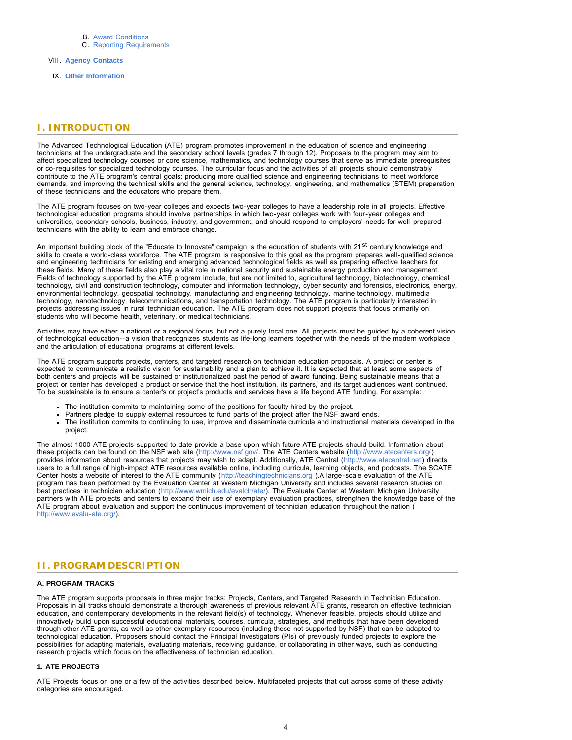- B. [Award Conditions](#page-12-3)
- C. [Reporting Requirements](#page-13-0)
- VIII. **[Agency Contacts](#page-13-1)**
- IX. **[Other Information](#page-13-2)**

## <span id="page-3-0"></span>**I. INTRODUCTION**

The Advanced Technological Education (ATE) program promotes improvement in the education of science and engineering technicians at the undergraduate and the secondary school levels (grades 7 through 12). Proposals to the program may aim to affect specialized technology courses or core science, mathematics, and technology courses that serve as immediate prerequisites or co-requisites for specialized technology courses. The curricular focus and the activities of all projects should demonstrably contribute to the ATE program's central goals: producing more qualified science and engineering technicians to meet workforce demands, and improving the technical skills and the general science, technology, engineering, and mathematics (STEM) preparation of these technicians and the educators who prepare them.

The ATE program focuses on two-year colleges and expects two-year colleges to have a leadership role in all projects. Effective technological education programs should involve partnerships in which two-year colleges work with four-year colleges and universities, secondary schools, business, industry, and government, and should respond to employers' needs for well-prepared technicians with the ability to learn and embrace change.

An important building block of the "Educate to Innovate" campaign is the education of students with  $21^{st}$  century knowledge and skills to create a world-class workforce. The ATE program is responsive to this goal as the program prepares well-qualified science and engineering technicians for existing and emerging advanced technological fields as well as preparing effective teachers for these fields. Many of these fields also play a vital role in national security and sustainable energy production and management. Fields of technology supported by the ATE program include, but are not limited to, agricultural technology, biotechnology, chemical technology, civil and construction technology, computer and information technology, cyber security and forensics, electronics, energy, environmental technology, geospatial technology, manufacturing and engineering technology, marine technology, multimedia technology, nanotechnology, telecommunications, and transportation technology. The ATE program is particularly interested in projects addressing issues in rural technician education. The ATE program does not support projects that focus primarily on students who will become health, veterinary, or medical technicians.

Activities may have either a national or a regional focus, but not a purely local one. All projects must be guided by a coherent vision of technological education--a vision that recognizes students as life-long learners together with the needs of the modern workplace and the articulation of educational programs at different levels.

The ATE program supports projects, centers, and targeted research on technician education proposals. A project or center is expected to communicate a realistic vision for sustainability and a plan to achieve it. It is expected that at least some aspects of both centers and projects will be sustained or institutionalized past the period of award funding. Being sustainable means that a project or center has developed a product or service that the host institution, its partners, and its target audiences want continued. To be sustainable is to ensure a center's or project's products and services have a life beyond ATE funding. For example:

- The institution commits to maintaining some of the positions for faculty hired by the project.
- Partners pledge to supply external resources to fund parts of the project after the NSF award ends.
- The institution commits to continuing to use, improve and disseminate curricula and instructional materials developed in the project.

The almost 1000 ATE projects supported to date provide a base upon which future ATE projects should build. Information about these projects can be found on the NSF web site ([http://www.nsf.gov/.](http://www.nsf.gov/) The ATE Centers website ([http://www.atecenters.org/](http://www.nsf.gov/cgi-bin/good-bye?http://www.atecenters.org/)) provides information about resources that projects may wish to adapt. Additionally, ATE Central ([http://www.atecentral.net](http://www.nsf.gov/cgi-bin/good-bye?http://www.atecentral.net)) directs users to a full range of high-impact ATE resources available online, including curricula, learning objects, and podcasts. The SCATE Center hosts a website of interest to the ATE community ([http://teachingtechnicians.org](http://www.nsf.gov/cgi-bin/good-bye?http://teachingtechnicians.org) ).A large-scale evaluation of the ATE program has been performed by the Evaluation Center at Western Michigan University and includes several research studies on best practices in technician education ([http://www.wmich.edu/evalctr/ate/\)](http://www.nsf.gov/cgi-bin/good-bye?http://www.wmich.edu/evalctr/ate/). The Evaluate Center at Western Michigan University partners with ATE projects and centers to expand their use of exemplary evaluation practices, strengthen the knowledge base of the ATE program about evaluation and support the continuous improvement of technician education throughout the nation ( [http://www.evalu-ate.org/\)](http://www.nsf.gov/cgi-bin/good-bye?http://www.evalu-ate.org/).

## <span id="page-3-1"></span>**II. PROGRAM DESCRIPTION**

### **A. PROGRAM TRACKS**

The ATE program supports proposals in three major tracks: Projects, Centers, and Targeted Research in Technician Education. Proposals in all tracks should demonstrate a thorough awareness of previous relevant ATE grants, research on effective technician education, and contemporary developments in the relevant field(s) of technology. Whenever feasible, projects should utilize and innovatively build upon successful educational materials, courses, curricula, strategies, and methods that have been developed through other ATE grants, as well as other exemplary resources (including those not supported by NSF) that can be adapted to technological education. Proposers should contact the Principal Investigators (PIs) of previously funded projects to explore the possibilities for adapting materials, evaluating materials, receiving guidance, or collaborating in other ways, such as conducting research projects which focus on the effectiveness of technician education.

## **1. ATE PROJECTS**

ATE Projects focus on one or a few of the activities described below. Multifaceted projects that cut across some of these activity categories are encouraged.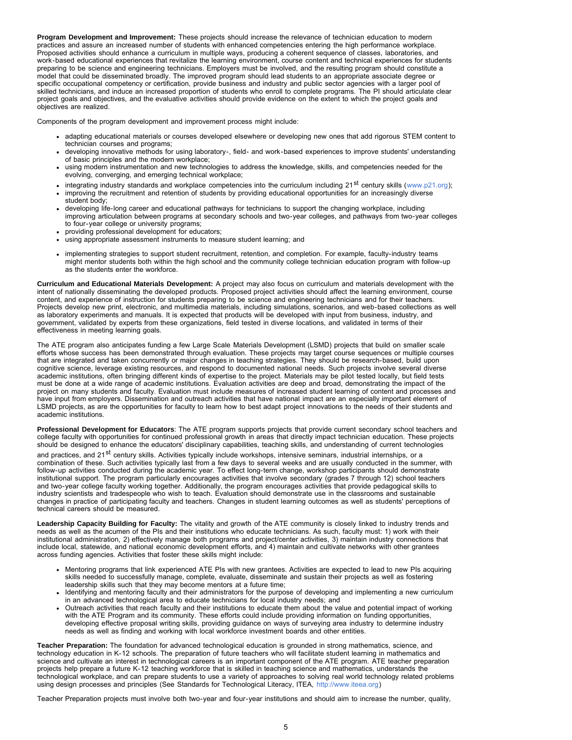**Program Development and Improvement:** These projects should increase the relevance of technician education to modern practices and assure an increased number of students with enhanced competencies entering the high performance workplace. Proposed activities should enhance a curriculum in multiple ways, producing a coherent sequence of classes, laboratories, and work-based educational experiences that revitalize the learning environment, course content and technical experiences for students preparing to be science and engineering technicians. Employers must be involved, and the resulting program should constitute a model that could be disseminated broadly. The improved program should lead students to an appropriate associate degree or specific occupational competency or certification, provide business and industry and public sector agencies with a larger pool of skilled technicians, and induce an increased proportion of students who enroll to complete programs. The PI should articulate clear project goals and objectives, and the evaluative activities should provide evidence on the extent to which the project goals and objectives are realized.

Components of the program development and improvement process might include:

- adapting educational materials or courses developed elsewhere or developing new ones that add rigorous STEM content to technician courses and programs;
- developing innovative methods for using laboratory-, field- and work-based experiences to improve students' understanding of basic principles and the modern workplace;
- using modern instrumentation and new technologies to address the knowledge, skills, and competencies needed for the evolving, converging, and emerging technical workplace;
- integrating industry standards and workplace competencies into the curriculum including  $21^{st}$  century skills ([www.p21.org](http://www.nsf.gov/cgi-bin/good-bye?http://www.p21.org));
- improving the recruitment and retention of students by providing educational opportunities for an increasingly diverse student body;
- developing life-long career and educational pathways for technicians to support the changing workplace, including improving articulation between programs at secondary schools and two-year colleges, and pathways from two-year colleges to four-year college or university programs;
- providing professional development for educators;
- using appropriate assessment instruments to measure student learning; and
- implementing strategies to support student recruitment, retention, and completion. For example, faculty-industry teams might mentor students both within the high school and the community college technician education program with follow-up as the students enter the workforce.

**Curriculum and Educational Materials Development:** A project may also focus on curriculum and materials development with the intent of nationally disseminating the developed products. Proposed project activities should affect the learning environment, course content, and experience of instruction for students preparing to be science and engineering technicians and for their teachers. Projects develop new print, electronic, and multimedia materials, including simulations, scenarios, and web-based collections as well as laboratory experiments and manuals. It is expected that products will be developed with input from business, industry, and government, validated by experts from these organizations, field tested in diverse locations, and validated in terms of their effectiveness in meeting learning goals.

The ATE program also anticipates funding a few Large Scale Materials Development (LSMD) projects that build on smaller scale efforts whose success has been demonstrated through evaluation. These projects may target course sequences or multiple courses that are integrated and taken concurrently or major changes in teaching strategies. They should be research-based, build upon cognitive science, leverage existing resources, and respond to documented national needs. Such projects involve several diverse academic institutions, often bringing different kinds of expertise to the project. Materials may be pilot tested locally, but field tests must be done at a wide range of academic institutions. Evaluation activities are deep and broad, demonstrating the impact of the project on many students and faculty. Evaluation must include measures of increased student learning of content and processes and have input from employers. Dissemination and outreach activities that have national impact are an especially important element of LSMD projects, as are the opportunities for faculty to learn how to best adapt project innovations to the needs of their students and academic institutions.

**Professional Development for Educators**: The ATE program supports projects that provide current secondary school teachers and college faculty with opportunities for continued professional growth in areas that directly impact technician education. These projects should be designed to enhance the educators' disciplinary capabilities, teaching skills, and understanding of current technologies

and practices, and 21<sup>st</sup> century skills. Activities typically include workshops, intensive seminars, industrial internships, or a combination of these. Such activities typically last from a few days to several weeks and are usually conducted in the summer, with follow-up activities conducted during the academic year. To effect long-term change, workshop participants should demonstrate institutional support. The program particularly encourages activities that involve secondary (grades 7 through 12) school teachers and two-year college faculty working together. Additionally, the program encourages activities that provide pedagogical skills to industry scientists and tradespeople who wish to teach. Evaluation should demonstrate use in the classrooms and sustainable changes in practice of participating faculty and teachers. Changes in student learning outcomes as well as students' perceptions of technical careers should be measured.

**Leadership Capacity Building for Faculty:** The vitality and growth of the ATE community is closely linked to industry trends and needs as well as the acumen of the PIs and their institutions who educate technicians. As such, faculty must: 1) work with their institutional administration, 2) effectively manage both programs and project/center activities, 3) maintain industry connections that include local, statewide, and national economic development efforts, and 4) maintain and cultivate networks with other grantees across funding agencies. Activities that foster these skills might include:

- Mentoring programs that link experienced ATE PIs with new grantees. Activities are expected to lead to new PIs acquiring skills needed to successfully manage, complete, evaluate, disseminate and sustain their projects as well as fostering leadership skills such that they may become mentors at a future time;
- Identifying and mentoring faculty and their administrators for the purpose of developing and implementing a new curriculum in an advanced technological area to educate technicians for local industry needs; and
- Outreach activities that reach faculty and their institutions to educate them about the value and potential impact of working with the ATE Program and its community. These efforts could include providing information on funding opportunities, developing effective proposal writing skills, providing guidance on ways of surveying area industry to determine industry needs as well as finding and working with local workforce investment boards and other entities.

**Teacher Preparation:** The foundation for advanced technological education is grounded in strong mathematics, science, and technology education in K-12 schools. The preparation of future teachers who will facilitate student learning in mathematics and science and cultivate an interest in technological careers is an important component of the ATE program. ATE teacher preparation projects help prepare a future K-12 teaching workforce that is skilled in teaching science and mathematics, understands the technological workplace, and can prepare students to use a variety of approaches to solving real world technology related problems using design processes and principles (See Standards for Technological Literacy, ITEA, [http://www.iteea.org\)](http://www.nsf.gov/cgi-bin/good-bye?http://www.iteaconnect.org)

Teacher Preparation projects must involve both two-year and four-year institutions and should aim to increase the number, quality,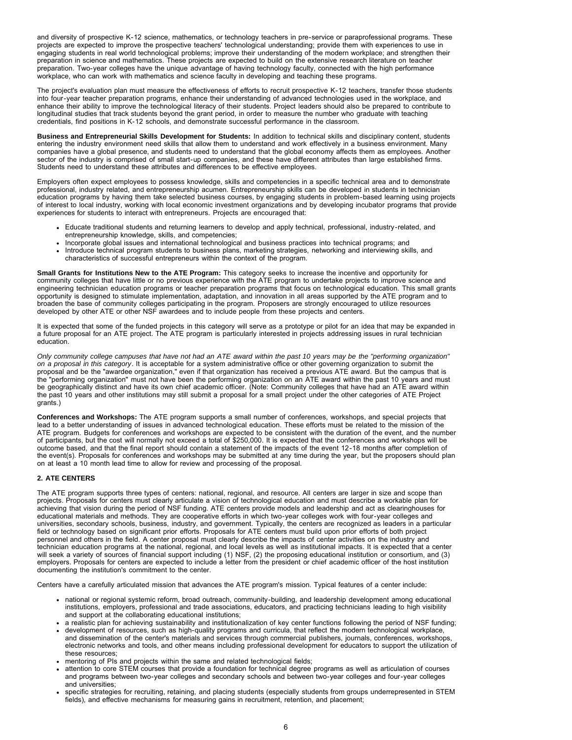and diversity of prospective K-12 science, mathematics, or technology teachers in pre-service or paraprofessional programs. These projects are expected to improve the prospective teachers' technological understanding; provide them with experiences to use in engaging students in real world technological problems; improve their understanding of the modern workplace; and strengthen their preparation in science and mathematics. These projects are expected to build on the extensive research literature on teacher preparation. Two-year colleges have the unique advantage of having technology faculty, connected with the high performance workplace, who can work with mathematics and science faculty in developing and teaching these programs.

The project's evaluation plan must measure the effectiveness of efforts to recruit prospective K-12 teachers, transfer those students into four-year teacher preparation programs, enhance their understanding of advanced technologies used in the workplace, and enhance their ability to improve the technological literacy of their students. Project leaders should also be prepared to contribute to longitudinal studies that track students beyond the grant period, in order to measure the number who graduate with teaching credentials, find positions in K-12 schools, and demonstrate successful performance in the classroom.

**Business and Entrepreneurial Skills Development for Students:** In addition to technical skills and disciplinary content, students entering the industry environment need skills that allow them to understand and work effectively in a business environment. Many companies have a global presence, and students need to understand that the global economy affects them as employees. Another sector of the industry is comprised of small start-up companies, and these have different attributes than large established firms. Students need to understand these attributes and differences to be effective employees.

Employers often expect employees to possess knowledge, skills and competencies in a specific technical area and to demonstrate professional, industry related, and entrepreneurship acumen. Entrepreneurship skills can be developed in students in technician education programs by having them take selected business courses, by engaging students in problem-based learning using projects of interest to local industry, working with local economic investment organizations and by developing incubator programs that provide experiences for students to interact with entrepreneurs. Projects are encouraged that:

- Educate traditional students and returning learners to develop and apply technical, professional, industry-related, and entrepreneurship knowledge, skills, and competencies;
- Incorporate global issues and international technological and business practices into technical programs; and Introduce technical program students to business plans, marketing strategies, networking and interviewing skills, and
- characteristics of successful entrepreneurs within the context of the program.

**Small Grants for Institutions New to the ATE Program:** This category seeks to increase the incentive and opportunity for community colleges that have little or no previous experience with the ATE program to undertake projects to improve science and engineering technician education programs or teacher preparation programs that focus on technological education. This small grants opportunity is designed to stimulate implementation, adaptation, and innovation in all areas supported by the ATE program and to broaden the base of community colleges participating in the program. Proposers are strongly encouraged to utilize resources developed by other ATE or other NSF awardees and to include people from these projects and centers.

It is expected that some of the funded projects in this category will serve as a prototype or pilot for an idea that may be expanded in a future proposal for an ATE project. The ATE program is particularly interested in projects addressing issues in rural technician education.

*Only community college campuses that have not had an ATE award within the past 10 years may be the "performing organization" on a proposal in this category*. It is acceptable for a system administrative office or other governing organization to submit the proposal and be the "awardee organization," even if that organization has received a previous ATE award. But the campus that is the "performing organization" must not have been the performing organization on an ATE award within the past 10 years and must be geographically distinct and have its own chief academic officer. (Note: Community colleges that have had an ATE award within the past 10 years and other institutions may still submit a proposal for a small project under the other categories of ATE Project grants.)

**Conferences and Workshops:** The ATE program supports a small number of conferences, workshops, and special projects that lead to a better understanding of issues in advanced technological education. These efforts must be related to the mission of the ATE program. Budgets for conferences and workshops are expected to be consistent with the duration of the event, and the number of participants, but the cost will normally not exceed a total of \$250,000. It is expected that the conferences and workshops will be outcome based, and that the final report should contain a statement of the impacts of the event 12-18 months after completion of the event(s). Proposals for conferences and workshops may be submitted at any time during the year, but the proposers should plan on at least a 10 month lead time to allow for review and processing of the proposal.

### **2. ATE CENTERS**

The ATE program supports three types of centers: national, regional, and resource. All centers are larger in size and scope than projects. Proposals for centers must clearly articulate a vision of technological education and must describe a workable plan for achieving that vision during the period of NSF funding. ATE centers provide models and leadership and act as clearinghouses for educational materials and methods. They are cooperative efforts in which two-year colleges work with four-year colleges and universities, secondary schools, business, industry, and government. Typically, the centers are recognized as leaders in a particular field or technology based on significant prior efforts. Proposals for ATE centers must build upon prior efforts of both project personnel and others in the field. A center proposal must clearly describe the impacts of center activities on the industry and technician education programs at the national, regional, and local levels as well as institutional impacts. It is expected that a center will seek a variety of sources of financial support including (1) NSF, (2) the proposing educational institution or consortium, and (3) employers. Proposals for centers are expected to include a letter from the president or chief academic officer of the host institution documenting the institution's commitment to the center.

Centers have a carefully articulated mission that advances the ATE program's mission. Typical features of a center include:

- national or regional systemic reform, broad outreach, community-building, and leadership development among educational institutions, employers, professional and trade associations, educators, and practicing technicians leading to high visibility and support at the collaborating educational institutions;
- a realistic plan for achieving sustainability and institutionalization of key center functions following the period of NSF funding; development of resources, such as high-quality programs and curricula, that reflect the modern technological workplace, and dissemination of the center's materials and services through commercial publishers, journals, conferences, workshops, electronic networks and tools, and other means including professional development for educators to support the utilization of these resources;
- mentoring of PIs and projects within the same and related technological fields;
- attention to core STEM courses that provide a foundation for technical degree programs as well as articulation of courses and programs between two-year colleges and secondary schools and between two-year colleges and four-year colleges and universities;
- specific strategies for recruiting, retaining, and placing students (especially students from groups underrepresented in STEM fields), and effective mechanisms for measuring gains in recruitment, retention, and placement;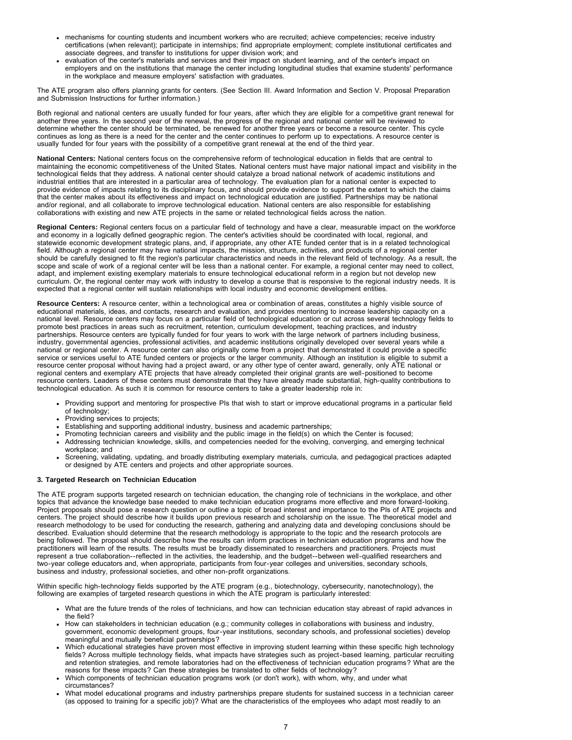- mechanisms for counting students and incumbent workers who are recruited; achieve competencies; receive industry certifications (when relevant); participate in internships; find appropriate employment; complete institutional certificates and associate degrees, and transfer to institutions for upper division work; and
- evaluation of the center's materials and services and their impact on student learning, and of the center's impact on employers and on the institutions that manage the center including longitudinal studies that examine students' performance in the workplace and measure employers' satisfaction with graduates.

The ATE program also offers planning grants for centers. (See Section III. Award Information and Section V. Proposal Preparation and Submission Instructions for further information.)

Both regional and national centers are usually funded for four years, after which they are eligible for a competitive grant renewal for another three years. In the second year of the renewal, the progress of the regional and national center will be reviewed to determine whether the center should be terminated, be renewed for another three years or become a resource center. This cycle continues as long as there is a need for the center and the center continues to perform up to expectations. A resource center is usually funded for four years with the possibility of a competitive grant renewal at the end of the third year.

**National Centers:** National centers focus on the comprehensive reform of technological education in fields that are central to maintaining the economic competitiveness of the United States. National centers must have major national impact and visibility in the technological fields that they address. A national center should catalyze a broad national network of academic institutions and industrial entities that are interested in a particular area of technology. The evaluation plan for a national center is expected to provide evidence of impacts relating to its disciplinary focus, and should provide evidence to support the extent to which the claims that the center makes about its effectiveness and impact on technological education are justified. Partnerships may be national and/or regional, and all collaborate to improve technological education. National centers are also responsible for establishing collaborations with existing and new ATE projects in the same or related technological fields across the nation.

**Regional Centers:** Regional centers focus on a particular field of technology and have a clear, measurable impact on the workforce and economy in a logically defined geographic region. The center's activities should be coordinated with local, regional, and statewide economic development strategic plans, and, if appropriate, any other ATE funded center that is in a related technological field. Although a regional center may have national impacts, the mission, structure, activities, and products of a regional center should be carefully designed to fit the region's particular characteristics and needs in the relevant field of technology. As a result, the scope and scale of work of a regional center will be less than a national center. For example, a regional center may need to collect, adapt, and implement existing exemplary materials to ensure technological educational reform in a region but not develop new curriculum. Or, the regional center may work with industry to develop a course that is responsive to the regional industry needs. It is expected that a regional center will sustain relationships with local industry and economic development entities.

**Resource Centers:** A resource center, within a technological area or combination of areas, constitutes a highly visible source of educational materials, ideas, and contacts, research and evaluation, and provides mentoring to increase leadership capacity on a national level. Resource centers may focus on a particular field of technological education or cut across several technology fields to promote best practices in areas such as recruitment, retention, curriculum development, teaching practices, and industry partnerships. Resource centers are typically funded for four years to work with the large network of partners including business, industry, governmental agencies, professional activities, and academic institutions originally developed over several years while a national or regional center. A resource center can also originally come from a project that demonstrated it could provide a specific service or services useful to ATE funded centers or projects or the larger community. Although an institution is eligible to submit a resource center proposal without having had a project award, or any other type of center award, generally, only ATE national or regional centers and exemplary ATE projects that have already completed their original grants are well-positioned to become resource centers. Leaders of these centers must demonstrate that they have already made substantial, high-quality contributions to technological education. As such it is common for resource centers to take a greater leadership role in:

- Providing support and mentoring for prospective PIs that wish to start or improve educational programs in a particular field of technology;
- Providing services to projects;
- Establishing and supporting additional industry, business and academic partnerships;
- Promoting technician careers and visibility and the public image in the field(s) on which the Center is focused;
- Addressing technician knowledge, skills, and competencies needed for the evolving, converging, and emerging technical workplace; and
- Screening, validating, updating, and broadly distributing exemplary materials, curricula, and pedagogical practices adapted or designed by ATE centers and projects and other appropriate sources.

### **3. Targeted Research on Technician Education**

The ATE program supports targeted research on technician education, the changing role of technicians in the workplace, and other topics that advance the knowledge base needed to make technician education programs more effective and more forward-looking. Project proposals should pose a research question or outline a topic of broad interest and importance to the PIs of ATE projects and centers. The project should describe how it builds upon previous research and scholarship on the issue. The theoretical model and research methodology to be used for conducting the research, gathering and analyzing data and developing conclusions should be described. Evaluation should determine that the research methodology is appropriate to the topic and the research protocols are being followed. The proposal should describe how the results can inform practices in technician education programs and how the practitioners will learn of the results. The results must be broadly disseminated to researchers and practitioners. Projects must represent a true collaboration--reflected in the activities, the leadership, and the budget--between well-qualified researchers and two-year college educators and, when appropriate, participants from four-year colleges and universities, secondary schools, business and industry, professional societies, and other non-profit organizations.

Within specific high-technology fields supported by the ATE program (e.g., biotechnology, cybersecurity, nanotechnology), the following are examples of targeted research questions in which the ATE program is particularly interested:

- What are the future trends of the roles of technicians, and how can technician education stay abreast of rapid advances in the field?
- How can stakeholders in technician education (e.g.; community colleges in collaborations with business and industry, government, economic development groups, four-year institutions, secondary schools, and professional societies) develop meaningful and mutually beneficial partnerships?
- Which educational strategies have proven most effective in improving student learning within these specific high technology fields? Across multiple technology fields, what impacts have strategies such as project-based learning, particular recruiting and retention strategies, and remote laboratories had on the effectiveness of technician education programs? What are the reasons for these impacts? Can these strategies be translated to other fields of technology?
- Which components of technician education programs work (or don't work), with whom, why, and under what circumstances?
- What model educational programs and industry partnerships prepare students for sustained success in a technician career (as opposed to training for a specific job)? What are the characteristics of the employees who adapt most readily to an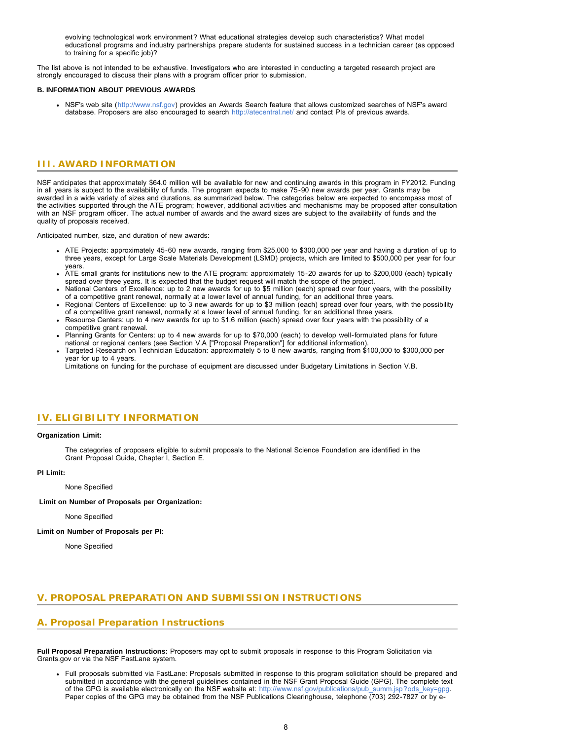evolving technological work environment? What educational strategies develop such characteristics? What model educational programs and industry partnerships prepare students for sustained success in a technician career (as opposed to training for a specific job)?

The list above is not intended to be exhaustive. Investigators who are interested in conducting a targeted research project are strongly encouraged to discuss their plans with a program officer prior to submission.

#### **B. INFORMATION ABOUT PREVIOUS AWARDS**

NSF's web site ([http://www.nsf.gov\)](http://www.nsf.gov/) provides an Awards Search feature that allows customized searches of NSF's award database. Proposers are also encouraged to search [http://atecentral.net/](http://www.nsf.gov/cgi-bin/good-bye?http://atecentral.net/) and contact PIs of previous awards.

### <span id="page-7-0"></span>**III. AWARD INFORMATION**

NSF anticipates that approximately \$64.0 million will be available for new and continuing awards in this program in FY2012. Funding in all years is subject to the availability of funds. The program expects to make 75-90 new awards per year. Grants may be awarded in a wide variety of sizes and durations, as summarized below. The categories below are expected to encompass most of the activities supported through the ATE program; however, additional activities and mechanisms may be proposed after consultation with an NSF program officer. The actual number of awards and the award sizes are subject to the availability of funds and the quality of proposals received.

Anticipated number, size, and duration of new awards:

- ATE Projects: approximately 45-60 new awards, ranging from \$25,000 to \$300,000 per year and having a duration of up to three years, except for Large Scale Materials Development (LSMD) projects, which are limited to \$500,000 per year for four years.
- ATE small grants for institutions new to the ATE program: approximately 15-20 awards for up to \$200,000 (each) typically spread over three years. It is expected that the budget request will match the scope of the project.
- National Centers of Excellence: up to 2 new awards for up to \$5 million (each) spread over four years, with the possibility of a competitive grant renewal, normally at a lower level of annual funding, for an additional three years.
- Regional Centers of Excellence: up to 3 new awards for up to \$3 million (each) spread over four years, with the possibility of a competitive grant renewal, normally at a lower level of annual funding, for an additional three years.
- Resource Centers: up to 4 new awards for up to \$1.6 million (each) spread over four years with the possibility of a competitive grant renewal.
- Planning Grants for Centers: up to 4 new awards for up to \$70,000 (each) to develop well-formulated plans for future national or regional centers (see Section V.A ["Proposal Preparation"] for additional information).
- Targeted Research on Technician Education: approximately 5 to 8 new awards, ranging from \$100,000 to \$300,000 per year for up to 4 years.

Limitations on funding for the purchase of equipment are discussed under Budgetary Limitations in Section V.B.

### <span id="page-7-1"></span>**IV. ELIGIBILITY INFORMATION**

#### **Organization Limit:**

The categories of proposers eligible to submit proposals to the National Science Foundation are identified in the Grant Proposal Guide, Chapter I, Section E.

**PI Limit:**

None Specified

 **Limit on Number of Proposals per Organization:**

#### None Specified

<span id="page-7-2"></span>**Limit on Number of Proposals per PI:**

None Specified

## **V. PROPOSAL PREPARATION AND SUBMISSION INSTRUCTIONS**

### **A. Proposal Preparation Instructions**

**Full Proposal Preparation Instructions:** Proposers may opt to submit proposals in response to this Program Solicitation via Grants.gov or via the NSF FastLane system.

Full proposals submitted via FastLane: Proposals submitted in response to this program solicitation should be prepared and submitted in accordance with the general guidelines contained in the NSF Grant Proposal Guide (GPG). The complete text of the GPG is available electronically on the NSF website at: [http://www.nsf.gov/publications/pub\\_summ.jsp?ods\\_key=gpg.](http://www.nsf.gov/publications/pub_summ.jsp?ods_key=gpg) Paper copies of the GPG may be obtained from the NSF Publications Clearinghouse, telephone (703) 292-7827 or by e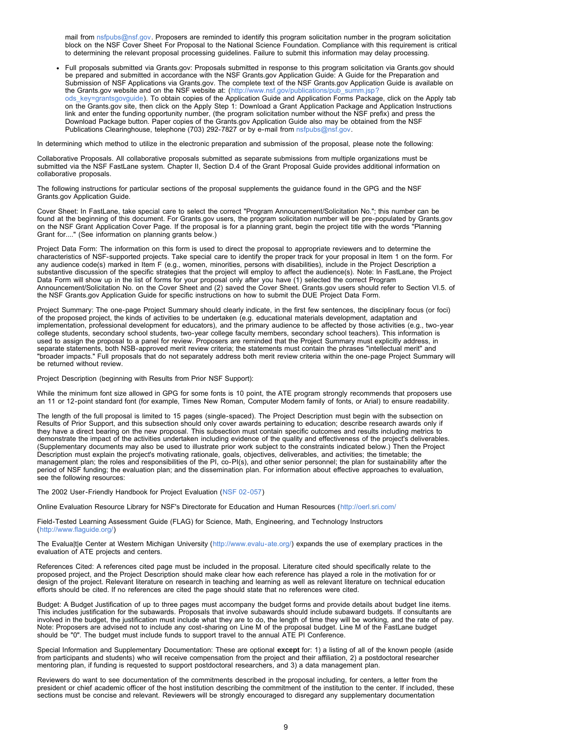mail from [nsfpubs@nsf.gov.](mailto:nsfpubs@nsf.gov) Proposers are reminded to identify this program solicitation number in the program solicitation block on the NSF Cover Sheet For Proposal to the National Science Foundation. Compliance with this requirement is critical to determining the relevant proposal processing guidelines. Failure to submit this information may delay processing.

Full proposals submitted via Grants.gov: Proposals submitted in response to this program solicitation via Grants.gov should be prepared and submitted in accordance with the NSF Grants.gov Application Guide: A Guide for the Preparation and Submission of NSF Applications via Grants.gov. The complete text of the NSF Grants.gov Application Guide is available on the Grants.gov website and on the NSF website at: ([http://www.nsf.gov/publications/pub\\_summ.jsp?](http://www.nsf.gov/publications/pub_summ.jsp?ods_key=grantsgovguide) [ods\\_key=grantsgovguide\)](http://www.nsf.gov/publications/pub_summ.jsp?ods_key=grantsgovguide). To obtain copies of the Application Guide and Application Forms Package, click on the Apply tab on the Grants.gov site, then click on the Apply Step 1: Download a Grant Application Package and Application Instructions link and enter the funding opportunity number, (the program solicitation number without the NSF prefix) and press the Download Package button. Paper copies of the Grants.gov Application Guide also may be obtained from the NSF Publications Clearinghouse, telephone (703) 292-7827 or by e-mail from [nsfpubs@nsf.gov.](mailto:nsfpubs@nsf.gov)

In determining which method to utilize in the electronic preparation and submission of the proposal, please note the following:

Collaborative Proposals. All collaborative proposals submitted as separate submissions from multiple organizations must be submitted via the NSF FastLane system. Chapter II, Section D.4 of the Grant Proposal Guide provides additional information on collaborative proposals.

The following instructions for particular sections of the proposal supplements the guidance found in the GPG and the NSF Grants.gov Application Guide.

Cover Sheet: In FastLane, take special care to select the correct "Program Announcement/Solicitation No."; this number can be found at the beginning of this document. For Grants.gov users, the program solicitation number will be pre-populated by Grants.gov on the NSF Grant Application Cover Page. If the proposal is for a planning grant, begin the project title with the words "Planning Grant for...." (See information on planning grants below.)

Project Data Form: The information on this form is used to direct the proposal to appropriate reviewers and to determine the characteristics of NSF-supported projects. Take special care to identify the proper track for your proposal in Item 1 on the form. For any audience code(s) marked in Item F (e.g., women, minorities, persons with disabilities), include in the Project Description a substantive discussion of the specific strategies that the project will employ to affect the audience(s). Note: In FastLane, the Project Data Form will show up in the list of forms for your proposal only after you have (1) selected the correct Program Announcement/Solicitation No. on the Cover Sheet and (2) saved the Cover Sheet. Grants.gov users should refer to Section VI.5. of the NSF Grants.gov Application Guide for specific instructions on how to submit the DUE Project Data Form.

Project Summary: The one-page Project Summary should clearly indicate, in the first few sentences, the disciplinary focus (or foci) of the proposed project, the kinds of activities to be undertaken (e.g. educational materials development, adaptation and implementation, professional development for educators), and the primary audience to be affected by those activities (e.g., two-year college students, secondary school students, two-year college faculty members, secondary school teachers). This information is used to assign the proposal to a panel for review. Proposers are reminded that the Project Summary must explicitly address, in separate statements, both NSB-approved merit review criteria; the statements must contain the phrases "intellectual merit" and "broader impacts." Full proposals that do not separately address both merit review criteria within the one-page Project Summary will be returned without review.

Project Description (beginning with Results from Prior NSF Support):

While the minimum font size allowed in GPG for some fonts is 10 point, the ATE program strongly recommends that proposers use an 11 or 12-point standard font (for example, Times New Roman, Computer Modern family of fonts, or Arial) to ensure readability.

The length of the full proposal is limited to 15 pages (single-spaced). The Project Description must begin with the subsection on Results of Prior Support, and this subsection should only cover awards pertaining to education; describe research awards only if they have a direct bearing on the new proposal. This subsection must contain specific outcomes and results including metrics to demonstrate the impact of the activities undertaken including evidence of the quality and effectiveness of the project's deliverables. (Supplementary documents may also be used to illustrate prior work subject to the constraints indicated below.) Then the Project Description must explain the project's motivating rationale, goals, objectives, deliverables, and activities; the timetable; the management plan; the roles and responsibilities of the PI, co-PI(s), and other senior personnel; the plan for sustainability after the period of NSF funding; the evaluation plan; and the dissemination plan. For information about effective approaches to evaluation, see the following resources:

The 2002 User-Friendly Handbook for Project Evaluation ([NSF 02-057\)](http://www.nsf.gov/publications/pub_summ.jsp?ods_key=nsf02057)

Online Evaluation Resource Library for NSF's Directorate for Education and Human Resources ([http://oerl.sri.com/](http://www.nsf.gov/cgi-bin/good-bye?http://oerl.sri.com/)

Field-Tested Learning Assessment Guide (FLAG) for Science, Math, Engineering, and Technology Instructors ([http://www.flaguide.org/\)](http://www.nsf.gov/cgi-bin/good-bye?http://www.flaguide.org/)

The Evalua|t|e Center at Western Michigan University ([http://www.evalu-ate.org/](http://www.nsf.gov/cgi-bin/good-bye?http://www.evalu-ate.org/)) expands the use of exemplary practices in the evaluation of ATE projects and centers.

References Cited: A references cited page must be included in the proposal. Literature cited should specifically relate to the proposed project, and the Project Description should make clear how each reference has played a role in the motivation for or design of the project. Relevant literature on research in teaching and learning as well as relevant literature on technical education efforts should be cited. If no references are cited the page should state that no references were cited.

Budget: A Budget Justification of up to three pages must accompany the budget forms and provide details about budget line items. This includes justification for the subawards. Proposals that involve subawards should include subaward budgets. If consultants are involved in the budget, the justification must include what they are to do, the length of time they will be working, and the rate of pay. Note: Proposers are advised not to include any cost-sharing on Line M of the proposal budget. Line M of the FastLane budget should be "0". The budget must include funds to support travel to the annual ATE PI Conference.

Special Information and Supplementary Documentation: These are optional **except** for: 1) a listing of all of the known people (aside from participants and students) who will receive compensation from the project and their affiliation, 2) a postdoctoral researcher mentoring plan, if funding is requested to support postdoctoral researchers, and 3) a data management plan.

Reviewers do want to see documentation of the commitments described in the proposal including, for centers, a letter from the president or chief academic officer of the host institution describing the commitment of the institution to the center. If included, these sections must be concise and relevant. Reviewers will be strongly encouraged to disregard any supplementary documentation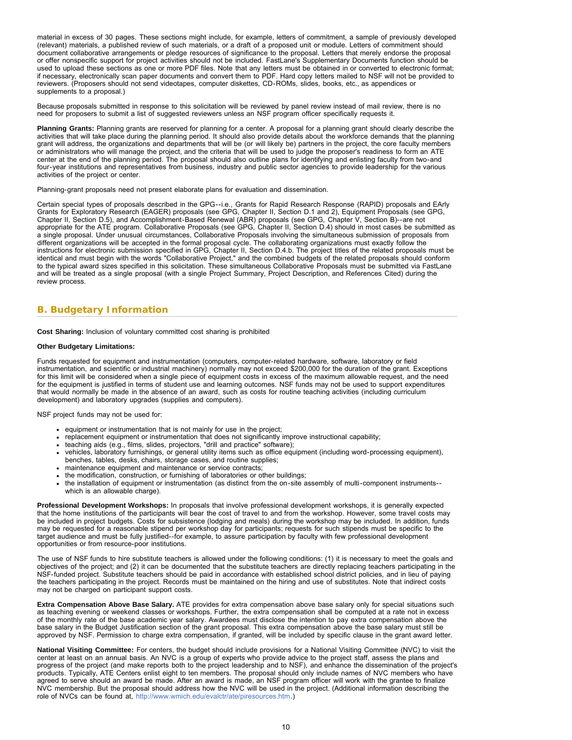material in excess of 30 pages. These sections might include, for example, letters of commitment, a sample of previously developed (relevant) materials, a published review of such materials, or a draft of a proposed unit or module. Letters of commitment should document collaborative arrangements or pledge resources of significance to the proposal. Letters that merely endorse the proposal or offer nonspecific support for project activities should not be included. FastLane's Supplementary Documents function should be used to upload these sections as one or more PDF files. Note that any letters must be obtained in or converted to electronic format; if necessary, electronically scan paper documents and convert them to PDF. Hard copy letters mailed to NSF will not be provided to reviewers. (Proposers should not send videotapes, computer diskettes, CD-ROMs, slides, books, etc., as appendices or supplements to a proposal.)

Because proposals submitted in response to this solicitation will be reviewed by panel review instead of mail review, there is no need for proposers to submit a list of suggested reviewers unless an NSF program officer specifically requests it.

**Planning Grants:** Planning grants are reserved for planning for a center. A proposal for a planning grant should clearly describe the activities that will take place during the planning period. It should also provide details about the workforce demands that the planning grant will address, the organizations and departments that will be (or will likely be) partners in the project, the core faculty members or administrators who will manage the project, and the criteria that will be used to judge the proposer's readiness to form an ATE center at the end of the planning period. The proposal should also outline plans for identifying and enlisting faculty from two-and four-year institutions and representatives from business, industry and public sector agencies to provide leadership for the various activities of the project or center.

Planning-grant proposals need not present elaborate plans for evaluation and dissemination.

Certain special types of proposals described in the GPG--i.e., Grants for Rapid Research Response (RAPID) proposals and EArly Grants for Exploratory Research (EAGER) proposals (see GPG, Chapter II, Section D.1 and 2), Equipment Proposals (see GPG, Chapter II, Section D.5), and Accomplishment-Based Renewal (ABR) proposals (see GPG, Chapter V, Section B)--are not appropriate for the ATE program. Collaborative Proposals (see GPG, Chapter II, Section D.4) should in most cases be submitted as a single proposal. Under unusual circumstances, Collaborative Proposals involving the simultaneous submission of proposals from different organizations will be accepted in the formal proposal cycle. The collaborating organizations must exactly follow the instructions for electronic submission specified in GPG, Chapter II, Section D.4.b. The project titles of the related proposals must be identical and must begin with the words "Collaborative Project," and the combined budgets of the related proposals should conform to the typical award sizes specified in this solicitation. These simultaneous Collaborative Proposals must be submitted via FastLane and will be treated as a single proposal (with a single Project Summary, Project Description, and References Cited) during the review process.

## <span id="page-9-0"></span>**B. Budgetary Information**

**Cost Sharing:** Inclusion of voluntary committed cost sharing is prohibited

### **Other Budgetary Limitations:**

Funds requested for equipment and instrumentation (computers, computer-related hardware, software, laboratory or field instrumentation, and scientific or industrial machinery) normally may not exceed \$200,000 for the duration of the grant. Exceptions for this limit will be considered when a single piece of equipment costs in excess of the maximum allowable request, and the need for the equipment is justified in terms of student use and learning outcomes. NSF funds may not be used to support expenditures that would normally be made in the absence of an award, such as costs for routine teaching activities (including curriculum development) and laboratory upgrades (supplies and computers).

NSF project funds may not be used for:

- equipment or instrumentation that is not mainly for use in the project;
- replacement equipment or instrumentation that does not significantly improve instructional capability;
- teaching aids (e.g., films, slides, projectors, "drill and practice" software);
- vehicles, laboratory furnishings, or general utility items such as office equipment (including word-processing equipment), benches, tables, desks, chairs, storage cases, and routine supplies;
- maintenance equipment and maintenance or service contracts;
- the modification, construction, or furnishing of laboratories or other buildings;
- the installation of equipment or instrumentation (as distinct from the on-site assembly of multi-component instruments- which is an allowable charge).

**Professional Development Workshops:** In proposals that involve professional development workshops, it is generally expected that the home institutions of the participants will bear the cost of travel to and from the workshop. However, some travel costs may be included in project budgets. Costs for subsistence (lodging and meals) during the workshop may be included. In addition, funds may be requested for a reasonable stipend per workshop day for participants; requests for such stipends must be specific to the target audience and must be fully justified--for example, to assure participation by faculty with few professional development opportunities or from resource-poor institutions.

The use of NSF funds to hire substitute teachers is allowed under the following conditions: (1) it is necessary to meet the goals and objectives of the project; and (2) it can be documented that the substitute teachers are directly replacing teachers participating in the NSF-funded project. Substitute teachers should be paid in accordance with established school district policies, and in lieu of paying the teachers participating in the project. Records must be maintained on the hiring and use of substitutes. Note that indirect costs may not be charged on participant support costs.

**Extra Compensation Above Base Salary.** ATE provides for extra compensation above base salary only for special situations such as teaching evening or weekend classes or workshops. Further, the extra compensation shall be computed at a rate not in excess of the monthly rate of the base academic year salary. Awardees must disclose the intention to pay extra compensation above the base salary in the Budget Justification section of the grant proposal. This extra compensation above the base salary must still be approved by NSF. Permission to charge extra compensation, if granted, will be included by specific clause in the grant award letter.

**National Visiting Committee:** For centers, the budget should include provisions for a National Visiting Committee (NVC) to visit the center at least on an annual basis. An NVC is a group of experts who provide advice to the project staff, assess the plans and progress of the project (and make reports both to the project leadership and to NSF), and enhance the dissemination of the project's products. Typically, ATE Centers enlist eight to ten members. The proposal should only include names of NVC members who have agreed to serve should an award be made. After an award is made, an NSF program officer will work with the grantee to finalize NVC membership. But the proposal should address how the NVC will be used in the project. (Additional information describing the role of NVCs can be found at, [http://www.wmich.edu/evalctr/ate/piresources.htm.](http://www.nsf.gov/cgi-bin/good-bye?http://www.wmich.edu/evalctr/ate/piresources.htm))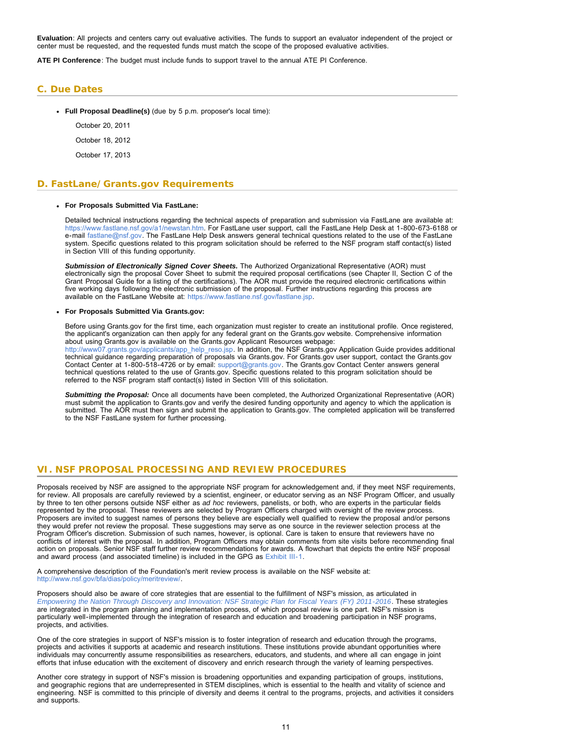<span id="page-10-0"></span>**Evaluation**: All projects and centers carry out evaluative activities. The funds to support an evaluator independent of the project or center must be requested, and the requested funds must match the scope of the proposed evaluative activities.

**ATE PI Conference**: The budget must include funds to support travel to the annual ATE PI Conference.

### **C. Due Dates**

**Full Proposal Deadline(s)** (due by 5 p.m. proposer's local time):

October 20, 2011

October 18, 2012

October 17, 2013

## <span id="page-10-1"></span>**D. FastLane/Grants.gov Requirements**

### **For Proposals Submitted Via FastLane:**

Detailed technical instructions regarding the technical aspects of preparation and submission via FastLane are available at: [https://www.fastlane.nsf.gov/a1/newstan.htm.](https://www.fastlane.nsf.gov/a1/newstan.htm) For FastLane user support, call the FastLane Help Desk at 1-800-673-6188 or e-mail [fastlane@nsf.gov.](mailto:fastlane@nsf.gov) The FastLane Help Desk answers general technical questions related to the use of the FastLane system. Specific questions related to this program solicitation should be referred to the NSF program staff contact(s) listed in Section VIII of this funding opportunity.

*Submission of Electronically Signed Cover Sheets.* The Authorized Organizational Representative (AOR) must electronically sign the proposal Cover Sheet to submit the required proposal certifications (see Chapter II, Section C of the Grant Proposal Guide for a listing of the certifications). The AOR must provide the required electronic certifications within five working days following the electronic submission of the proposal. Further instructions regarding this process are available on the FastLane Website at: [https://www.fastlane.nsf.gov/fastlane.jsp.](https://www.fastlane.nsf.gov/fastlane.jsp)

#### **For Proposals Submitted Via Grants.gov:**

Before using Grants.gov for the first time, each organization must register to create an institutional profile. Once registered, the applicant's organization can then apply for any federal grant on the Grants.gov website. Comprehensive information about using Grants.gov is available on the Grants.gov Applicant Resources webpage:

[http://www07.grants.gov/applicants/app\\_help\\_reso.jsp.](http://www07.grants.gov/applicants/app_help_reso.jsp) In addition, the NSF Grants.gov Application Guide provides additional technical guidance regarding preparation of proposals via Grants.gov. For Grants.gov user support, contact the Grants.gov Contact Center at 1-800-518-4726 or by email: [support@grants.gov](mailto:support@grants.gov). The Grants.gov Contact Center answers general technical questions related to the use of Grants.gov. Specific questions related to this program solicitation should be referred to the NSF program staff contact(s) listed in Section VIII of this solicitation.

*Submitting the Proposal:* Once all documents have been completed, the Authorized Organizational Representative (AOR) must submit the application to Grants.gov and verify the desired funding opportunity and agency to which the application is submitted. The AOR must then sign and submit the application to Grants.gov. The completed application will be transferred to the NSF FastLane system for further processing.

### <span id="page-10-2"></span>**VI. NSF PROPOSAL PROCESSING AND REVIEW PROCEDURES**

Proposals received by NSF are assigned to the appropriate NSF program for acknowledgement and, if they meet NSF requirements, for review. All proposals are carefully reviewed by a scientist, engineer, or educator serving as an NSF Program Officer, and usually by three to ten other persons outside NSF either as *ad hoc* reviewers, panelists, or both, who are experts in the particular fields represented by the proposal. These reviewers are selected by Program Officers charged with oversight of the review process. Proposers are invited to suggest names of persons they believe are especially well qualified to review the proposal and/or persons they would prefer not review the proposal. These suggestions may serve as one source in the reviewer selection process at the Program Officer's discretion. Submission of such names, however, is optional. Care is taken to ensure that reviewers have no conflicts of interest with the proposal. In addition, Program Officers may obtain comments from site visits before recommending final action on proposals. Senior NSF staff further review recommendations for awards. A flowchart that depicts the entire NSF proposal and award process (and associated timeline) is included in the GPG as [Exhibit III-1](http://www.nsf.gov/pubs/policydocs/pappguide/nsf13001/gpg_3ex1.pdf).

A comprehensive description of the Foundation's merit review process is available on the NSF website at: [http://www.nsf.gov/bfa/dias/policy/meritreview/.](http://www.nsf.gov/bfa/dias/policy/meritreview/)

Proposers should also be aware of core strategies that are essential to the fulfillment of NSF's mission, as articulated in *[Empowering the Nation Through Discovery and Innovation: NSF Strategic Plan for Fiscal Years \(FY\) 2011-2016](http://www.nsf.gov/news/strategicplan/nsfstrategicplan_2011_2016.pdf)*. These strategies are integrated in the program planning and implementation process, of which proposal review is one part. NSF's mission is particularly well-implemented through the integration of research and education and broadening participation in NSF programs, projects, and activities.

One of the core strategies in support of NSF's mission is to foster integration of research and education through the programs, projects and activities it supports at academic and research institutions. These institutions provide abundant opportunities where individuals may concurrently assume responsibilities as researchers, educators, and students, and where all can engage in joint efforts that infuse education with the excitement of discovery and enrich research through the variety of learning perspectives.

Another core strategy in support of NSF's mission is broadening opportunities and expanding participation of groups, institutions, and geographic regions that are underrepresented in STEM disciplines, which is essential to the health and vitality of science and engineering. NSF is committed to this principle of diversity and deems it central to the programs, projects, and activities it considers and supports.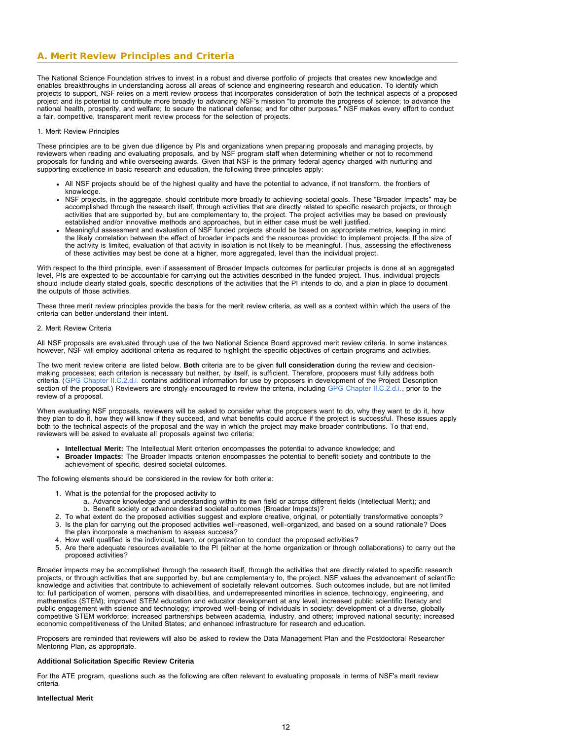## <span id="page-11-0"></span>**A. Merit Review Principles and Criteria**

The National Science Foundation strives to invest in a robust and diverse portfolio of projects that creates new knowledge and enables breakthroughs in understanding across all areas of science and engineering research and education. To identify which projects to support, NSF relies on a merit review process that incorporates consideration of both the technical aspects of a proposed project and its potential to contribute more broadly to advancing NSF's mission "to promote the progress of science; to advance the national health, prosperity, and welfare; to secure the national defense; and for other purposes." NSF makes every effort to conduct a fair, competitive, transparent merit review process for the selection of projects.

#### 1. Merit Review Principles

These principles are to be given due diligence by PIs and organizations when preparing proposals and managing projects, by reviewers when reading and evaluating proposals, and by NSF program staff when determining whether or not to recommend proposals for funding and while overseeing awards. Given that NSF is the primary federal agency charged with nurturing and supporting excellence in basic research and education, the following three principles apply:

- All NSF projects should be of the highest quality and have the potential to advance, if not transform, the frontiers of knowledge.
- NSF projects, in the aggregate, should contribute more broadly to achieving societal goals. These "Broader Impacts" may be accomplished through the research itself, through activities that are directly related to specific research projects, or through activities that are supported by, but are complementary to, the project. The project activities may be based on previously established and/or innovative methods and approaches, but in either case must be well justified.
- Meaningful assessment and evaluation of NSF funded projects should be based on appropriate metrics, keeping in mind the likely correlation between the effect of broader impacts and the resources provided to implement projects. If the size of the activity is limited, evaluation of that activity in isolation is not likely to be meaningful. Thus, assessing the effectiveness of these activities may best be done at a higher, more aggregated, level than the individual project.

With respect to the third principle, even if assessment of Broader Impacts outcomes for particular projects is done at an aggregated level, PIs are expected to be accountable for carrying out the activities described in the funded project. Thus, individual projects should include clearly stated goals, specific descriptions of the activities that the PI intends to do, and a plan in place to document the outputs of those activities.

These three merit review principles provide the basis for the merit review criteria, as well as a context within which the users of the criteria can better understand their intent.

#### 2. Merit Review Criteria

All NSF proposals are evaluated through use of the two National Science Board approved merit review criteria. In some instances, however, NSF will employ additional criteria as required to highlight the specific objectives of certain programs and activities.

The two merit review criteria are listed below. **Both** criteria are to be given **full consideration** during the review and decisionmaking processes; each criterion is necessary but neither, by itself, is sufficient. Therefore, proposers must fully address both criteria. ([GPG Chapter II.C.2.d.i.](http://www.nsf.gov/pubs/policydocs/pappguide/nsf13001/gpg_2.jsp#IIC2di) contains additional information for use by proposers in development of the Project Description section of the proposal.) Reviewers are strongly encouraged to review the criteria, including [GPG Chapter II.C.2.d.i.,](http://www.nsf.gov/pubs/policydocs/pappguide/nsf13001/gpg_2.jsp#IIC2di) prior to the review of a proposal.

When evaluating NSF proposals, reviewers will be asked to consider what the proposers want to do, why they want to do it, how they plan to do it, how they will know if they succeed, and what benefits could accrue if the project is successful. These issues apply both to the technical aspects of the proposal and the way in which the project may make broader contributions. To that end, reviewers will be asked to evaluate all proposals against two criteria:

- **Intellectual Merit:** The Intellectual Merit criterion encompasses the potential to advance knowledge; and
- **Broader Impacts:** The Broader Impacts criterion encompasses the potential to benefit society and contribute to the achievement of specific, desired societal outcomes.

The following elements should be considered in the review for both criteria:

- 1. What is the potential for the proposed activity to
	- a. Advance knowledge and understanding within its own field or across different fields (Intellectual Merit); and b. Benefit society or advance desired societal outcomes (Broader Impacts)?
- 2. To what extent do the proposed activities suggest and explore creative, original, or potentially transformative concepts?
- 3. Is the plan for carrying out the proposed activities well-reasoned, well-organized, and based on a sound rationale? Does the plan incorporate a mechanism to assess success?
- 4. How well qualified is the individual, team, or organization to conduct the proposed activities?
- 5. Are there adequate resources available to the PI (either at the home organization or through collaborations) to carry out the proposed activities?

Broader impacts may be accomplished through the research itself, through the activities that are directly related to specific research projects, or through activities that are supported by, but are complementary to, the project. NSF values the advancement of scientific knowledge and activities that contribute to achievement of societally relevant outcomes. Such outcomes include, but are not limited to: full participation of women, persons with disabilities, and underrepresented minorities in science, technology, engineering, and mathematics (STEM); improved STEM education and educator development at any level; increased public scientific literacy and public engagement with science and technology; improved well-being of individuals in society; development of a diverse, globally competitive STEM workforce; increased partnerships between academia, industry, and others; improved national security; increased economic competitiveness of the United States; and enhanced infrastructure for research and education.

Proposers are reminded that reviewers will also be asked to review the Data Management Plan and the Postdoctoral Researcher Mentoring Plan, as appropriate.

### **Additional Solicitation Specific Review Criteria**

For the ATE program, questions such as the following are often relevant to evaluating proposals in terms of NSF's merit review criteria.

### **Intellectual Merit**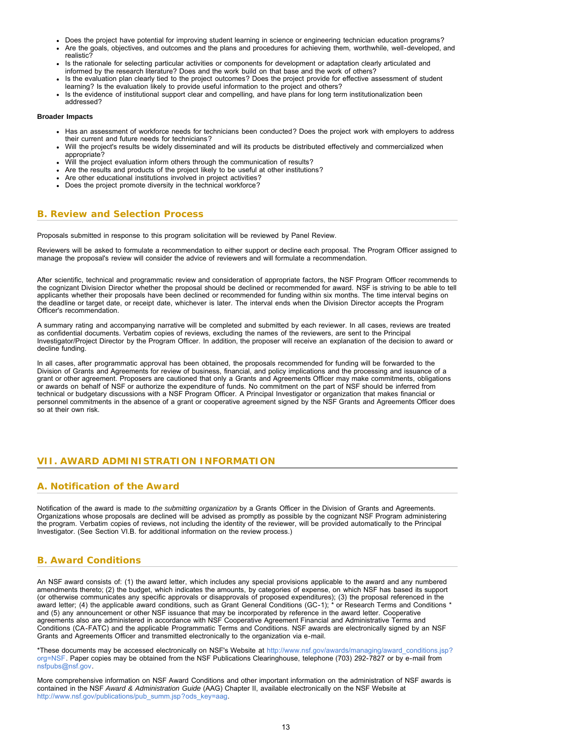- Does the project have potential for improving student learning in science or engineering technician education programs?
- Are the goals, objectives, and outcomes and the plans and procedures for achieving them, worthwhile, well-developed, and realistic?
- Is the rationale for selecting particular activities or components for development or adaptation clearly articulated and informed by the research literature? Does and the work build on that base and the work of others?
- Is the evaluation plan clearly tied to the project outcomes? Does the project provide for effective assessment of student learning? Is the evaluation likely to provide useful information to the project and others?
- Is the evidence of institutional support clear and compelling, and have plans for long term institutionalization been addressed?

#### **Broader Impacts**

- Has an assessment of workforce needs for technicians been conducted? Does the project work with employers to address their current and future needs for technicians?
- Will the project's results be widely disseminated and will its products be distributed effectively and commercialized when appropriate?
- Will the project evaluation inform others through the communication of results?
- Are the results and products of the project likely to be useful at other institutions?
- Are other educational institutions involved in project activities?
- Does the project promote diversity in the technical workforce?

## <span id="page-12-0"></span>**B. Review and Selection Process**

Proposals submitted in response to this program solicitation will be reviewed by Panel Review.

Reviewers will be asked to formulate a recommendation to either support or decline each proposal. The Program Officer assigned to manage the proposal's review will consider the advice of reviewers and will formulate a recommendation.

After scientific, technical and programmatic review and consideration of appropriate factors, the NSF Program Officer recommends to the cognizant Division Director whether the proposal should be declined or recommended for award. NSF is striving to be able to tell applicants whether their proposals have been declined or recommended for funding within six months. The time interval begins on the deadline or target date, or receipt date, whichever is later. The interval ends when the Division Director accepts the Program Officer's recommendation.

A summary rating and accompanying narrative will be completed and submitted by each reviewer. In all cases, reviews are treated as confidential documents. Verbatim copies of reviews, excluding the names of the reviewers, are sent to the Principal Investigator/Project Director by the Program Officer. In addition, the proposer will receive an explanation of the decision to award or decline funding.

In all cases, after programmatic approval has been obtained, the proposals recommended for funding will be forwarded to the Division of Grants and Agreements for review of business, financial, and policy implications and the processing and issuance of a grant or other agreement. Proposers are cautioned that only a Grants and Agreements Officer may make commitments, obligations or awards on behalf of NSF or authorize the expenditure of funds. No commitment on the part of NSF should be inferred from technical or budgetary discussions with a NSF Program Officer. A Principal Investigator or organization that makes financial or personnel commitments in the absence of a grant or cooperative agreement signed by the NSF Grants and Agreements Officer does so at their own risk.

## <span id="page-12-1"></span>**VII. AWARD ADMINISTRATION INFORMATION**

## <span id="page-12-2"></span>**A. Notification of the Award**

Notification of the award is made to *the submitting organization* by a Grants Officer in the Division of Grants and Agreements. Organizations whose proposals are declined will be advised as promptly as possible by the cognizant NSF Program administering the program. Verbatim copies of reviews, not including the identity of the reviewer, will be provided automatically to the Principal Investigator. (See Section VI.B. for additional information on the review process.)

## <span id="page-12-3"></span>**B. Award Conditions**

An NSF award consists of: (1) the award letter, which includes any special provisions applicable to the award and any numbered amendments thereto; (2) the budget, which indicates the amounts, by categories of expense, on which NSF has based its support (or otherwise communicates any specific approvals or disapprovals of proposed expenditures); (3) the proposal referenced in the award letter; (4) the applicable award conditions, such as Grant General Conditions (GC-1); \* or Research Terms and Conditions \* and (5) any announcement or other NSF issuance that may be incorporated by reference in the award letter. Cooperative agreements also are administered in accordance with NSF Cooperative Agreement Financial and Administrative Terms and Conditions (CA-FATC) and the applicable Programmatic Terms and Conditions. NSF awards are electronically signed by an NSF Grants and Agreements Officer and transmitted electronically to the organization via e-mail.

\*These documents may be accessed electronically on NSF's Website at [http://www.nsf.gov/awards/managing/award\\_conditions.jsp?](http://www.nsf.gov/awards/managing/award_conditions.jsp?org=NSF) [org=NSF.](http://www.nsf.gov/awards/managing/award_conditions.jsp?org=NSF) Paper copies may be obtained from the NSF Publications Clearinghouse, telephone (703) 292-7827 or by e-mail from [nsfpubs@nsf.gov.](mailto:nsfpubs@nsf.gov)

More comprehensive information on NSF Award Conditions and other important information on the administration of NSF awards is contained in the NSF *Award & Administration Guide* (AAG) Chapter II, available electronically on the NSF Website at [http://www.nsf.gov/publications/pub\\_summ.jsp?ods\\_key=aag.](http://www.nsf.gov/publications/pub_summ.jsp?ods_key=aag)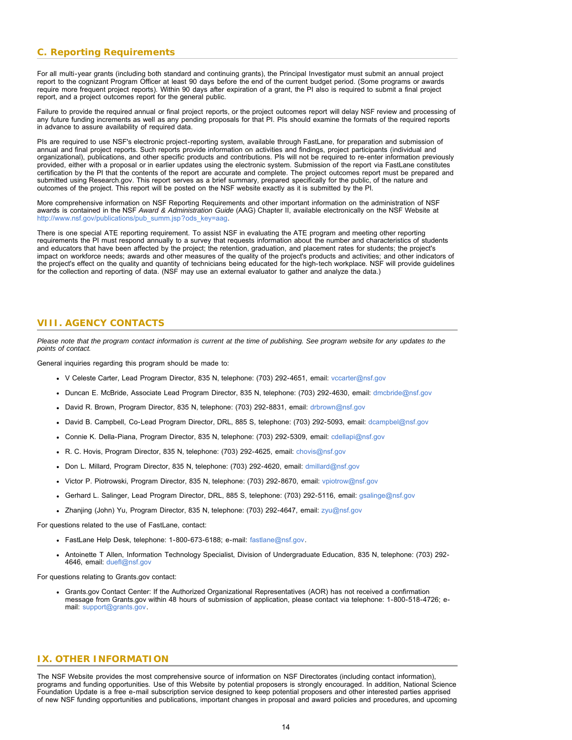## <span id="page-13-0"></span>**C. Reporting Requirements**

For all multi-year grants (including both standard and continuing grants), the Principal Investigator must submit an annual project report to the cognizant Program Officer at least 90 days before the end of the current budget period. (Some programs or awards require more frequent project reports). Within 90 days after expiration of a grant, the PI also is required to submit a final project report, and a project outcomes report for the general public.

Failure to provide the required annual or final project reports, or the project outcomes report will delay NSF review and processing of any future funding increments as well as any pending proposals for that PI. PIs should examine the formats of the required reports in advance to assure availability of required data.

PIs are required to use NSF's electronic project-reporting system, available through FastLane, for preparation and submission of annual and final project reports. Such reports provide information on activities and findings, project participants (individual and organizational), publications, and other specific products and contributions. PIs will not be required to re-enter information previously provided, either with a proposal or in earlier updates using the electronic system. Submission of the report via FastLane constitutes certification by the PI that the contents of the report are accurate and complete. The project outcomes report must be prepared and submitted using Research.gov. This report serves as a brief summary, prepared specifically for the public, of the nature and outcomes of the project. This report will be posted on the NSF website exactly as it is submitted by the PI.

More comprehensive information on NSF Reporting Requirements and other important information on the administration of NSF awards is contained in the NSF *Award & Administration Guide* (AAG) Chapter II, available electronically on the NSF Website at [http://www.nsf.gov/publications/pub\\_summ.jsp?ods\\_key=aag.](http://www.nsf.gov/publications/pub_summ.jsp?ods_key=aag)

There is one special ATE reporting requirement. To assist NSF in evaluating the ATE program and meeting other reporting requirements the PI must respond annually to a survey that requests information about the number and characteristics of students and educators that have been affected by the project; the retention, graduation, and placement rates for students; the project's impact on workforce needs; awards and other measures of the quality of the project's products and activities; and other indicators of the project's effect on the quality and quantity of technicians being educated for the high-tech workplace. NSF will provide guidelines for the collection and reporting of data. (NSF may use an external evaluator to gather and analyze the data.)

## <span id="page-13-1"></span>**VIII. AGENCY CONTACTS**

*Please note that the program contact information is current at the time of publishing. See program website for any updates to the points of contact.*

General inquiries regarding this program should be made to:

- V Celeste Carter, Lead Program Director, 835 N, telephone: (703) 292-4651, email: [vccarter@nsf.gov](mailto:vccarter@nsf.gov)
- Duncan E. McBride, Associate Lead Program Director, 835 N, telephone: (703) 292-4630, email: [dmcbride@nsf.gov](mailto:dmcbride@nsf.gov)
- David R. Brown, Program Director, 835 N, telephone: (703) 292-8831, email: [drbrown@nsf.gov](mailto:drbrown@nsf.gov)
- David B. Campbell, Co-Lead Program Director, DRL, 885 S, telephone: (703) 292-5093, email: [dcampbel@nsf.gov](mailto:dcampbel@nsf.gov)
- Connie K. Della-Piana, Program Director, 835 N, telephone: (703) 292-5309, email: [cdellapi@nsf.gov](mailto:cdellapi@nsf.gov)
- R. C. Hovis, Program Director, 835 N, telephone: (703) 292-4625, email: [chovis@nsf.gov](mailto:chovis@nsf.gov)
- Don L. Millard, Program Director, 835 N, telephone: (703) 292-4620, email: [dmillard@nsf.gov](mailto:dmillard@nsf.gov)
- Victor P. Piotrowski, Program Director, 835 N, telephone: (703) 292-8670, email: [vpiotrow@nsf.gov](mailto:vpiotrow@nsf.gov)
- Gerhard L. Salinger, Lead Program Director, DRL, 885 S, telephone: (703) 292-5116, email: [gsalinge@nsf.gov](mailto:gsalinge@nsf.gov)
- Zhanjing (John) Yu, Program Director, 835 N, telephone: (703) 292-4647, email: [zyu@nsf.gov](mailto:zyu@nsf.gov)

For questions related to the use of FastLane, contact:

- FastLane Help Desk, telephone: 1-800-673-6188; e-mail: [fastlane@nsf.gov.](mailto:fastlane@nsf.gov)
- Antoinette T Allen, Information Technology Specialist, Division of Undergraduate Education, 835 N, telephone: (703) 292 4646, email: [duefl@nsf.gov](mailto:duefl@nsf.gov)

For questions relating to Grants.gov contact:

Grants.gov Contact Center: If the Authorized Organizational Representatives (AOR) has not received a confirmation message from Grants.gov within 48 hours of submission of application, please contact via telephone: 1-800-518-4726; email: [support@grants.gov.](mailto:support@grants.gov)

### <span id="page-13-2"></span>**IX. OTHER INFORMATION**

The NSF Website provides the most comprehensive source of information on NSF Directorates (including contact information), programs and funding opportunities. Use of this Website by potential proposers is strongly encouraged. In addition, National Science Foundation Update is a free e-mail subscription service designed to keep potential proposers and other interested parties apprised of new NSF funding opportunities and publications, important changes in proposal and award policies and procedures, and upcoming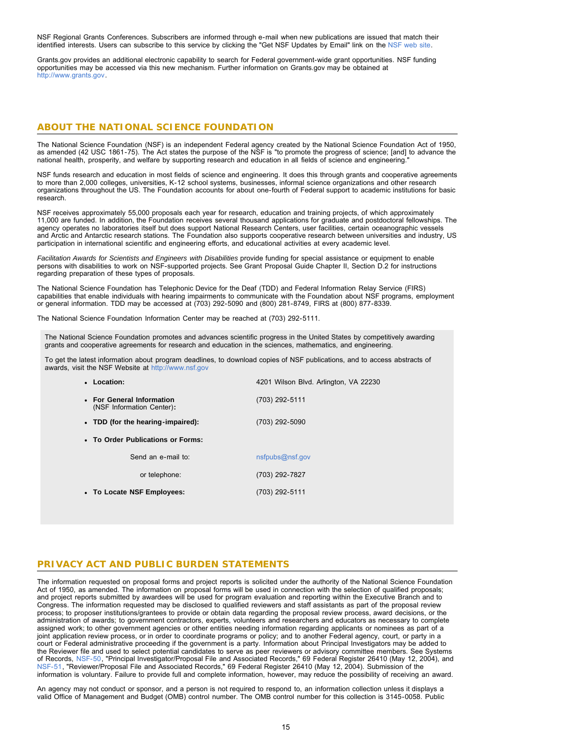NSF Regional Grants Conferences. Subscribers are informed through e-mail when new publications are issued that match their identified interests. Users can subscribe to this service by clicking the "Get NSF Updates by Email" link on the [NSF web site.](http://www.nsf.gov/)

Grants.gov provides an additional electronic capability to search for Federal government-wide grant opportunities. NSF funding opportunities may be accessed via this new mechanism. Further information on Grants.gov may be obtained at [http://www.grants.gov.](http://www.grants.gov/)

## **ABOUT THE NATIONAL SCIENCE FOUNDATION**

The National Science Foundation (NSF) is an independent Federal agency created by the National Science Foundation Act of 1950, as amended (42 USC 1861-75). The Act states the purpose of the NSF is "to promote the progress of science; [and] to advance the national health, prosperity, and welfare by supporting research and education in all fields of science and engineering."

NSF funds research and education in most fields of science and engineering. It does this through grants and cooperative agreements to more than 2,000 colleges, universities, K-12 school systems, businesses, informal science organizations and other research organizations throughout the US. The Foundation accounts for about one-fourth of Federal support to academic institutions for basic research.

NSF receives approximately 55,000 proposals each year for research, education and training projects, of which approximately 11,000 are funded. In addition, the Foundation receives several thousand applications for graduate and postdoctoral fellowships. The agency operates no laboratories itself but does support National Research Centers, user facilities, certain oceanographic vessels and Arctic and Antarctic research stations. The Foundation also supports cooperative research between universities and industry, US participation in international scientific and engineering efforts, and educational activities at every academic level.

*Facilitation Awards for Scientists and Engineers with Disabilities* provide funding for special assistance or equipment to enable persons with disabilities to work on NSF-supported projects. See Grant Proposal Guide Chapter II, Section D.2 for instructions regarding preparation of these types of proposals.

The National Science Foundation has Telephonic Device for the Deaf (TDD) and Federal Information Relay Service (FIRS) capabilities that enable individuals with hearing impairments to communicate with the Foundation about NSF programs, employment or general information. TDD may be accessed at (703) 292-5090 and (800) 281-8749, FIRS at (800) 877-8339.

The National Science Foundation Information Center may be reached at (703) 292-5111.

The National Science Foundation promotes and advances scientific progress in the United States by competitively awarding grants and cooperative agreements for research and education in the sciences, mathematics, and engineering.

To get the latest information about program deadlines, to download copies of NSF publications, and to access abstracts of awards, visit the NSF Website at [http://www.nsf.gov](http://www.nsf.gov/)

| • Location:                                            | 4201 Wilson Blvd. Arlington, VA 22230 |  |  |  |  |  |  |  |
|--------------------------------------------------------|---------------------------------------|--|--|--|--|--|--|--|
| • For General Information<br>(NSF Information Center): | (703) 292-5111                        |  |  |  |  |  |  |  |
| • TDD (for the hearing-impaired):                      | (703) 292-5090                        |  |  |  |  |  |  |  |
| • To Order Publications or Forms:                      |                                       |  |  |  |  |  |  |  |
| Send an e-mail to:                                     | nsfpubs@nsf.gov                       |  |  |  |  |  |  |  |
| or telephone:                                          | (703) 292-7827                        |  |  |  |  |  |  |  |
| • To Locate NSF Employees:                             | (703) 292-5111                        |  |  |  |  |  |  |  |
|                                                        |                                       |  |  |  |  |  |  |  |

## **PRIVACY ACT AND PUBLIC BURDEN STATEMENTS**

The information requested on proposal forms and project reports is solicited under the authority of the National Science Foundation Act of 1950, as amended. The information on proposal forms will be used in connection with the selection of qualified proposals; and project reports submitted by awardees will be used for program evaluation and reporting within the Executive Branch and to Congress. The information requested may be disclosed to qualified reviewers and staff assistants as part of the proposal review process; to proposer institutions/grantees to provide or obtain data regarding the proposal review process, award decisions, or the administration of awards; to government contractors, experts, volunteers and researchers and educators as necessary to complete assigned work; to other government agencies or other entities needing information regarding applicants or nominees as part of a joint application review process, or in order to coordinate programs or policy; and to another Federal agency, court, or party in a court or Federal administrative proceeding if the government is a party. Information about Principal Investigators may be added to the Reviewer file and used to select potential candidates to serve as peer reviewers or advisory committee members. See Systems of Records, [NSF-50,](http://www.nsf.gov/policies/SOR_PA_NSF-50_Principal_Investigator_Proposal_File.pdf) "Principal Investigator/Proposal File and Associated Records," 69 Federal Register 26410 (May 12, 2004), and [NSF-51,](http://www.nsf.gov/policies/SOR_PA_NSF-51_Reviewer_Proposal_File.pdf) "Reviewer/Proposal File and Associated Records," 69 Federal Register 26410 (May 12, 2004). Submission of the information is voluntary. Failure to provide full and complete information, however, may reduce the possibility of receiving an award.

An agency may not conduct or sponsor, and a person is not required to respond to, an information collection unless it displays a valid Office of Management and Budget (OMB) control number. The OMB control number for this collection is 3145-0058. Public